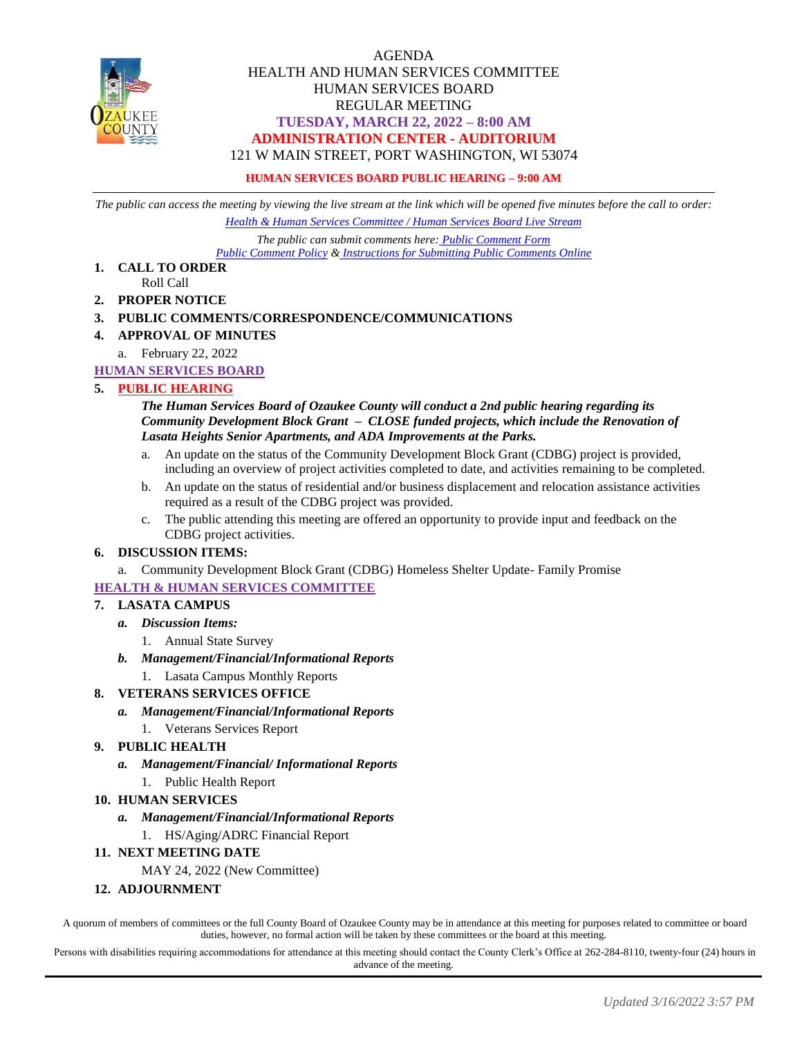

### AGENDA HEALTH AND HUMAN SERVICES COMMITTEE HUMAN SERVICES BOARD REGULAR MEETING **TUESDAY, MARCH 22, 2022 – 8:00 AM ADMINISTRATION CENTER - AUDITORIUM** 121 W MAIN STREET, PORT WASHINGTON, WI 53074

#### **HUMAN SERVICES BOARD PUBLIC HEARING – 9:00 AM**

*The public can access the meeting by viewing the live stream at the link which will be opened five minutes before the call to order: [Health & Human Services Committee / Human Services Board Live Stream](https://www.youtube.com/channel/UCQ16yLTEJmJo_h02WDDqcqg)*

*The public can submit comments here: [Public Comment Form](https://www.co.ozaukee.wi.us/FormCenter/Email-Forms-28/Email-Public-Comment-300) [Public Comment Policy](https://www.co.ozaukee.wi.us/2663/Public-Comments-at-In-Person-Meetings) & [Instructions for Submitting Public Comments Online](https://www.co.ozaukee.wi.us/2645/Public-Comments-at-Zoom-Meetings)*

- **1. CALL TO ORDER** Roll Call
- **2. PROPER NOTICE**

#### **3. PUBLIC COMMENTS/CORRESPONDENCE/COMMUNICATIONS**

- **4. APPROVAL OF MINUTES**
	- a. February 22, 2022

#### **HUMAN SERVICES BOARD**

#### **5. PUBLIC HEARING**

#### *The Human Services Board of Ozaukee County will conduct a 2nd public hearing regarding its Community Development Block Grant – CLOSE funded projects, which include the Renovation of Lasata Heights Senior Apartments, and ADA Improvements at the Parks.*

- a. An update on the status of the Community Development Block Grant (CDBG) project is provided, including an overview of project activities completed to date, and activities remaining to be completed.
- b. An update on the status of residential and/or business displacement and relocation assistance activities required as a result of the CDBG project was provided.
- c. The public attending this meeting are offered an opportunity to provide input and feedback on the CDBG project activities.

#### **6. DISCUSSION ITEMS:**

a. Community Development Block Grant (CDBG) Homeless Shelter Update- Family Promise

#### **HEALTH & HUMAN SERVICES COMMITTEE**

#### **7. LASATA CAMPUS**

#### *a. Discussion Items:*

- 1. Annual State Survey
- *b. Management/Financial/Informational Reports*
	- 1. Lasata Campus Monthly Reports

#### **8. VETERANS SERVICES OFFICE**

- *a. Management/Financial/Informational Reports*
- 1. Veterans Services Report

#### **9. PUBLIC HEALTH**

- *a. Management/Financial/ Informational Reports*
	- 1. Public Health Report

#### **10. HUMAN SERVICES**

#### *a. Management/Financial/Informational Reports*

1. HS/Aging/ADRC Financial Report

#### **11. NEXT MEETING DATE**

MAY 24, 2022 (New Committee)

#### **12. ADJOURNMENT**

A quorum of members of committees or the full County Board of Ozaukee County may be in attendance at this meeting for purposes related to committee or board duties, however, no formal action will be taken by these committees or the board at this meeting.

Persons with disabilities requiring accommodations for attendance at this meeting should contact the County Clerk's Office at 262-284-8110, twenty-four (24) hours in advance of the meeting.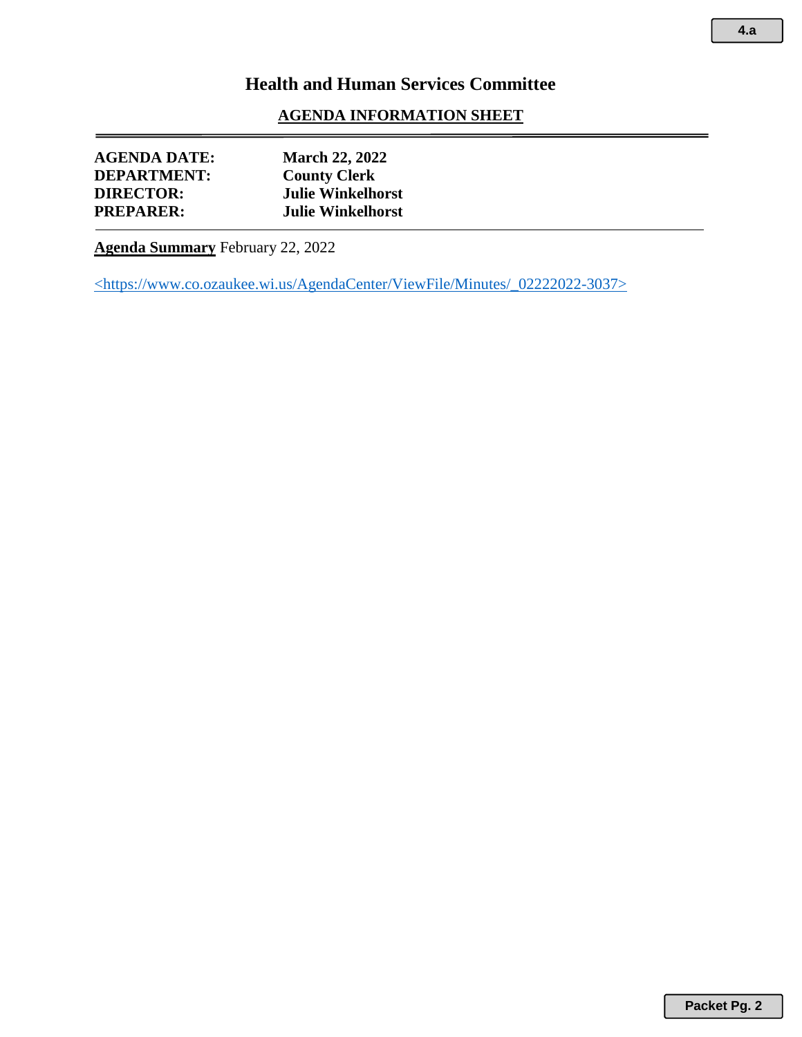## **AGENDA INFORMATION SHEET**

| <b>AGENDA DATE:</b> | <b>March 22, 2022</b>    |
|---------------------|--------------------------|
| <b>DEPARTMENT:</b>  | <b>County Clerk</b>      |
| <b>DIRECTOR:</b>    | <b>Julie Winkelhorst</b> |
| <b>PREPARER:</b>    | <b>Julie Winkelhorst</b> |
|                     |                          |

**Agenda Summary** February 22, 2022

<https://www.co.ozaukee.wi.us/AgendaCenter/ViewFile/Minutes/\_02222022-3037>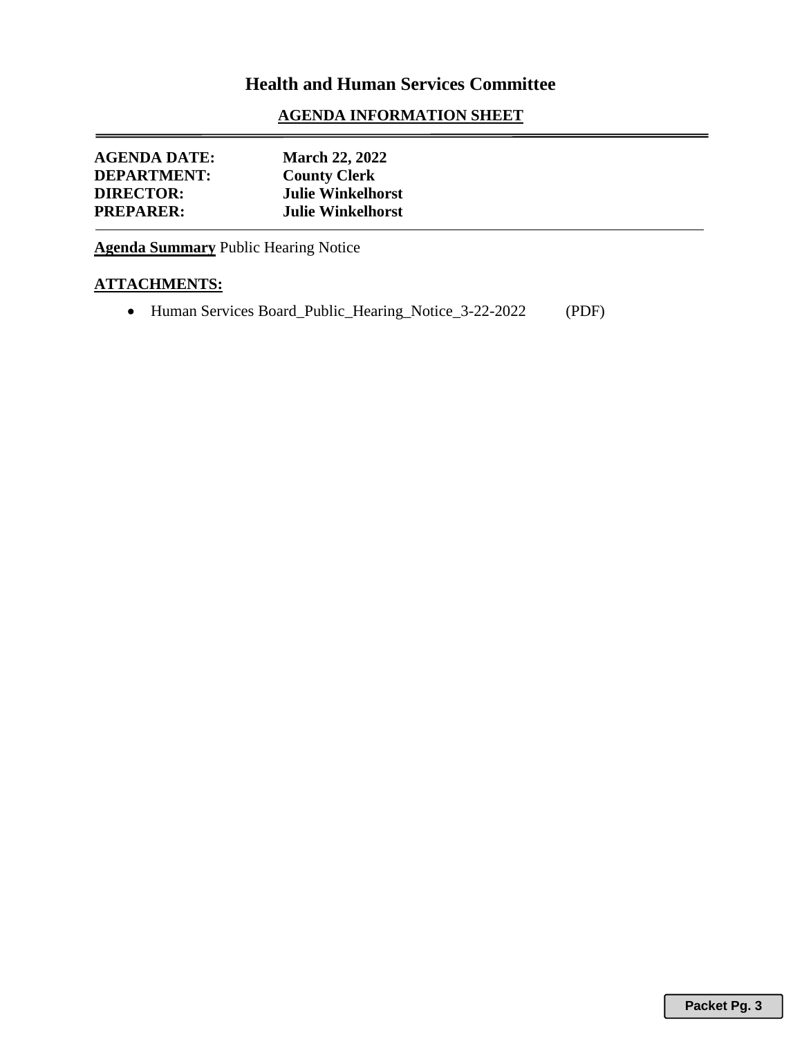## **AGENDA INFORMATION SHEET**

| <b>AGENDA DATE:</b> | <b>March 22, 2022</b>    |
|---------------------|--------------------------|
| <b>DEPARTMENT:</b>  | <b>County Clerk</b>      |
| <b>DIRECTOR:</b>    | <b>Julie Winkelhorst</b> |
| <b>PREPARER:</b>    | <b>Julie Winkelhorst</b> |

**Agenda Summary** Public Hearing Notice

## **ATTACHMENTS:**

• Human Services Board\_Public\_Hearing\_Notice\_3-22-2022 (PDF)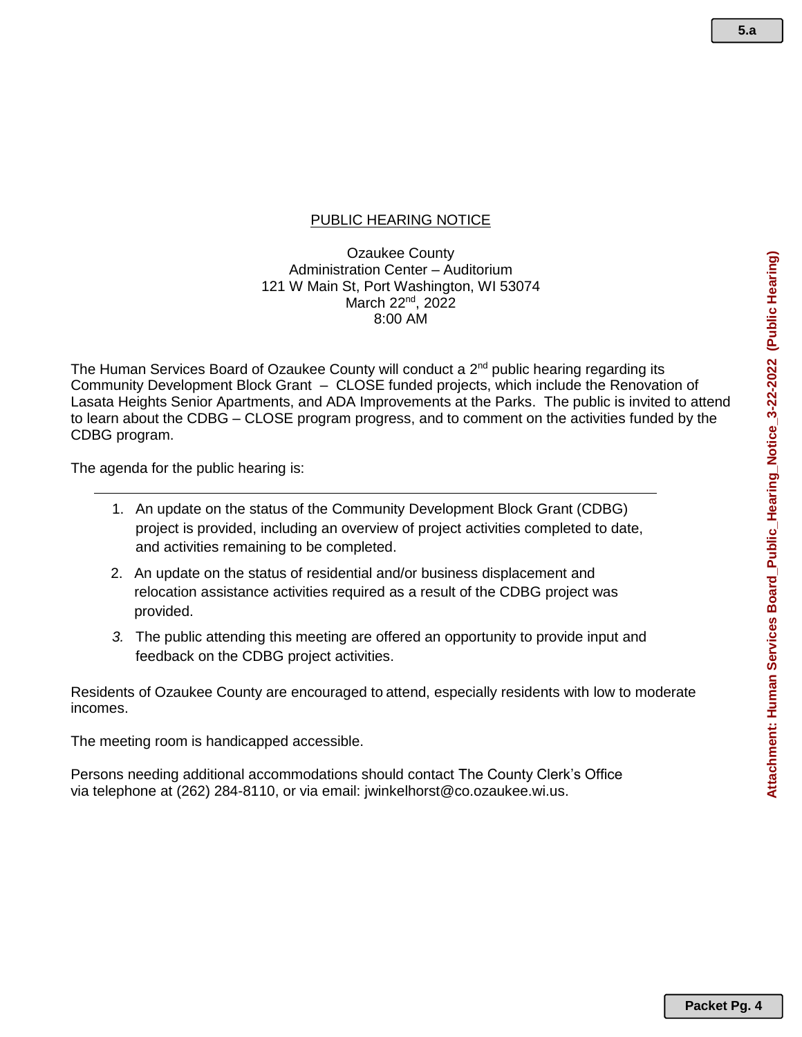## PUBLIC HEARING NOTICE

Ozaukee County Administration Center – Auditorium 121 W Main St, Port Washington, WI 53074 March 22<sup>nd</sup>, 2022 8:00 AM

The Human Services Board of Ozaukee County will conduct a 2<sup>nd</sup> public hearing regarding its Community Development Block Grant – CLOSE funded projects, which include the Renovation of Lasata Heights Senior Apartments, and ADA Improvements at the Parks. The public is invited to attend to learn about the CDBG – CLOSE program progress, and to comment on the activities funded by the CDBG program.

The agenda for the public hearing is:

- 1. An update on the status of the Community Development Block Grant (CDBG) project is provided, including an overview of project activities completed to date, and activities remaining to be completed.
- 2. An update on the status of residential and/or business displacement and relocation assistance activities required as a result of the CDBG project was provided.
- *3.* The public attending this meeting are offered an opportunity to provide input and feedback on the CDBG project activities.

Residents of Ozaukee County are encouraged to attend, especially residents with low to moderate incomes.

The meeting room is handicapped accessible.

Persons needing additional accommodations should contact The County Clerk's Office via telephone at (262) 284-8110, or via email: jwinkelhorst@co.ozaukee.wi.us.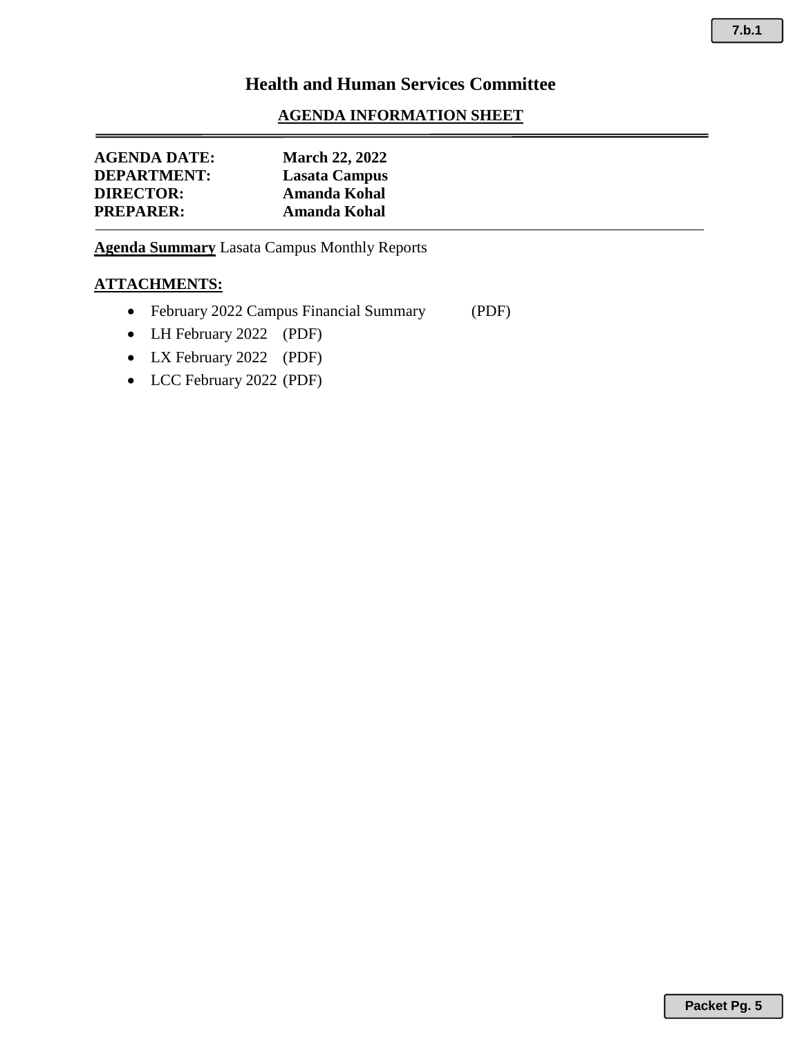## **AGENDA INFORMATION SHEET**

| <b>AGENDA DATE:</b> | <b>March 22, 2022</b> |
|---------------------|-----------------------|
| <b>DEPARTMENT:</b>  | Lasata Campus         |
| <b>DIRECTOR:</b>    | Amanda Kohal          |
| <b>PREPARER:</b>    | Amanda Kohal          |

**Agenda Summary** Lasata Campus Monthly Reports

## **ATTACHMENTS:**

- February 2022 Campus Financial Summary (PDF)
- LH February 2022 (PDF)
- LX February 2022 (PDF)
- LCC February 2022 (PDF)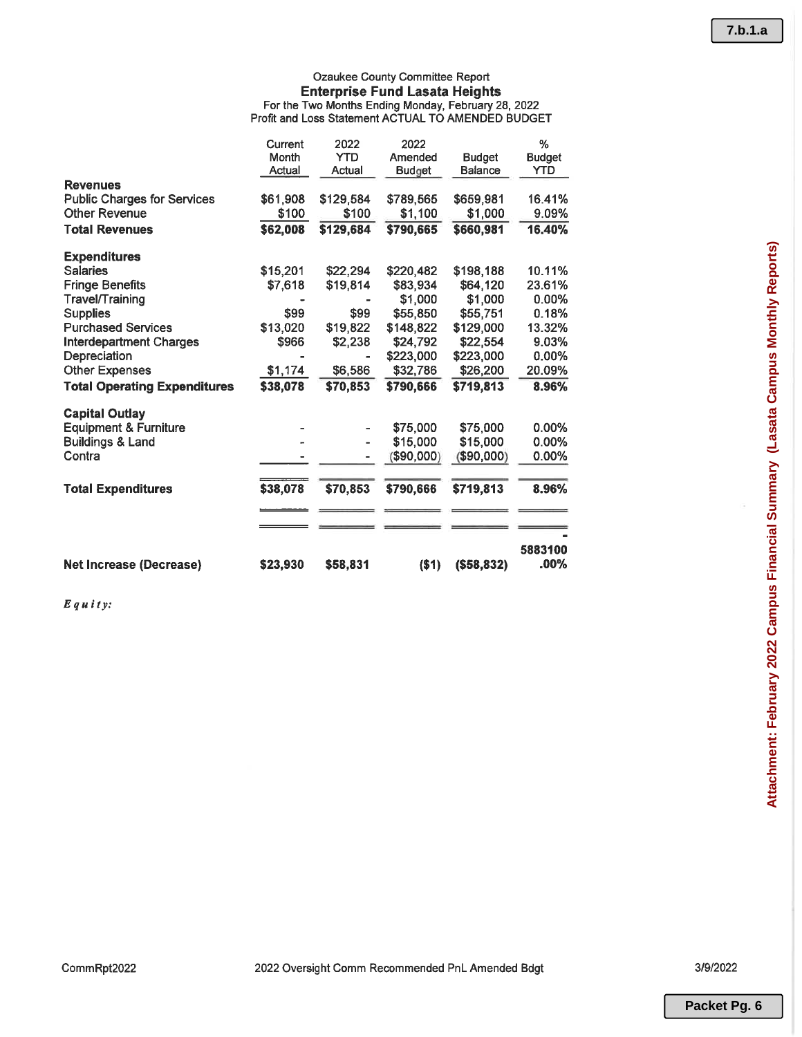## Ozaukee County Committee Report **Enterprise Fund Lasata Heights** For the Two Months Ending Monday, February 28, 2022<br>Profit and Loss Statement ACTUAL TO AMENDED BUDGET

|                                     | Current<br>Month<br>Actual | 2022<br><b>YTD</b><br>Actual | 2022<br>Amended<br><b>Budget</b> | <b>Budget</b><br><b>Balance</b> | %<br><b>Budget</b><br>YTD |
|-------------------------------------|----------------------------|------------------------------|----------------------------------|---------------------------------|---------------------------|
| <b>Revenues</b>                     |                            |                              |                                  |                                 |                           |
| <b>Public Charges for Services</b>  | \$61,908                   | \$129,584                    | \$789,565                        | \$659,981                       | 16.41%                    |
| <b>Other Revenue</b>                | \$100                      | \$100                        | \$1,100                          | \$1,000                         | 9.09%                     |
| <b>Total Revenues</b>               | \$62,008                   | \$129,684                    | \$790,665                        | \$660,981                       | 16.40%                    |
| <b>Expenditures</b>                 |                            |                              |                                  |                                 |                           |
| <b>Salaries</b>                     | \$15,201                   | \$22,294                     | \$220,482                        | \$198,188                       | 10.11%                    |
| <b>Fringe Benefits</b>              | \$7,618                    | \$19,814                     | \$83,934                         | \$64,120                        | 23.61%                    |
| Travel/Training                     |                            |                              | \$1,000                          | \$1,000                         | $0.00\%$                  |
| <b>Supplies</b>                     | \$99                       | \$99                         | \$55,850                         | \$55,751                        | 0.18%                     |
| <b>Purchased Services</b>           | \$13,020                   | \$19,822                     | \$148,822                        | \$129,000                       | 13.32%                    |
| <b>Interdepartment Charges</b>      | \$966                      | \$2,238                      | \$24,792                         | \$22,554                        | 9.03%                     |
| Depreciation                        |                            |                              | \$223,000                        | \$223,000                       | $0.00\%$                  |
| <b>Other Expenses</b>               | \$1,174                    | \$6,586                      | \$32,786                         | \$26,200                        | 20.09%                    |
| <b>Total Operating Expenditures</b> | \$38,078                   | \$70.853                     | \$790.666                        | \$719,813                       | 8.96%                     |
| <b>Capital Outlay</b>               |                            |                              |                                  |                                 |                           |
| <b>Equipment &amp; Furniture</b>    |                            |                              | \$75,000                         | \$75,000                        | $0.00\%$                  |
| <b>Buildings &amp; Land</b>         |                            |                              | \$15,000                         | \$15,000                        | $0.00\%$                  |
| Contra                              |                            |                              | \$90,000)                        | (\$90,000)                      | $0.00\%$                  |
| <b>Total Expenditures</b>           | \$38,078                   | \$70,853                     | \$790,666                        | \$719,813                       | 8.96%                     |
|                                     |                            |                              |                                  |                                 |                           |
|                                     |                            |                              |                                  |                                 |                           |
| <b>Net Increase (Decrease)</b>      | \$23,930                   | \$58,831                     | ( \$1)                           | (\$58,832)                      | 5883100<br>.00%           |

 $E$ quity:

CommRpt2022

3/9/2022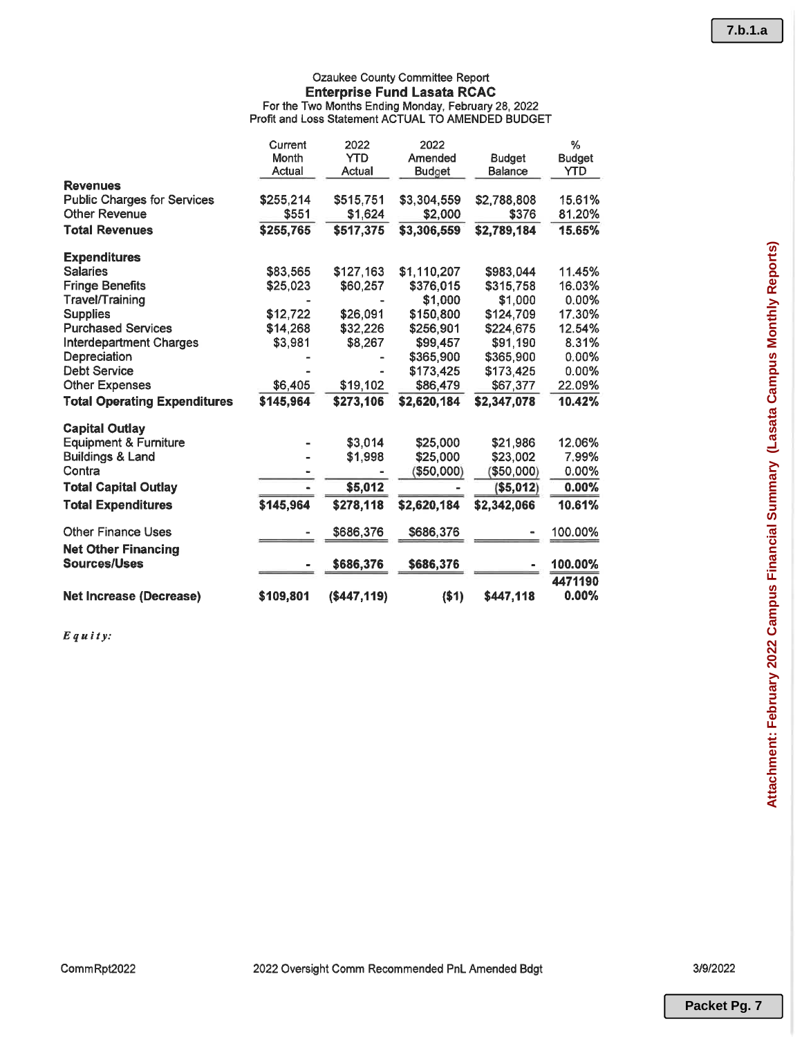## Ozaukee County Committee Report **Enterprise Fund Lasata RCAC** For the Two Months Ending Monday, February 28, 2022<br>Profit and Loss Statement ACTUAL TO AMENDED BUDGET

|                                                            | Current<br>Month | 2022<br><b>YTD</b> | 2022<br>Amended | <b>Budget</b>  | %<br><b>Budget</b> |
|------------------------------------------------------------|------------------|--------------------|-----------------|----------------|--------------------|
| <b>Revenues</b>                                            | Actual           | Actual             | <b>Budget</b>   | <b>Balance</b> | <b>YTD</b>         |
| <b>Public Charges for Services</b><br><b>Other Revenue</b> | \$255,214        | \$515,751          | \$3,304,559     | \$2,788,808    | 15.61%<br>81.20%   |
|                                                            | \$551            | \$1,624            | \$2,000         | \$376          |                    |
| <b>Total Revenues</b>                                      | \$255,765        | \$517,375          | \$3,306,559     | \$2,789,184    | 15.65%             |
| <b>Expenditures</b>                                        |                  |                    |                 |                |                    |
| <b>Salaries</b>                                            | \$83,565         | \$127,163          | \$1,110,207     | \$983.044      | 11.45%             |
| <b>Fringe Benefits</b>                                     | \$25,023         | \$60,257           | \$376,015       | \$315,758      | 16.03%             |
| Travel/Training                                            |                  |                    | \$1,000         | \$1,000        | 0.00%              |
| <b>Supplies</b>                                            | \$12,722         | \$26,091           | \$150,800       | \$124,709      | 17.30%             |
| <b>Purchased Services</b>                                  | \$14,268         | \$32,226           | \$256,901       | \$224,675      | 12.54%             |
| <b>Interdepartment Charges</b>                             | \$3,981          | \$8,267            | \$99,457        | \$91,190       | 8.31%              |
| Depreciation                                               |                  |                    | \$365,900       | \$365,900      | $0.00\%$           |
| <b>Debt Service</b>                                        |                  |                    | \$173,425       | \$173,425      | $0.00\%$           |
| <b>Other Expenses</b>                                      | \$6,405          | \$19,102           | \$86,479        | \$67,377       | 22.09%             |
| <b>Total Operating Expenditures</b>                        | \$145,964        | \$273,106          | \$2,620,184     | \$2,347,078    | 10.42%             |
| <b>Capital Outlay</b>                                      |                  |                    |                 |                |                    |
| <b>Equipment &amp; Furniture</b>                           |                  | \$3,014            | \$25,000        | \$21,986       | 12.06%             |
| <b>Buildings &amp; Land</b>                                |                  | \$1,998            | \$25,000        | \$23,002       | 7.99%              |
| Contra                                                     |                  |                    | \$50,000        | \$50,000)      | 0.00%              |
| <b>Total Capital Outlay</b>                                |                  | \$5,012            |                 | (\$5,012)      | $0.00\%$           |
| <b>Total Expenditures</b>                                  | \$145,964        | \$278,118          | \$2,620,184     | \$2,342,066    | 10.61%             |
| <b>Other Finance Uses</b>                                  |                  | \$686,376          | \$686,376       |                | 100.00%            |
| <b>Net Other Financing</b>                                 |                  |                    |                 |                |                    |
| <b>Sources/Uses</b>                                        |                  | \$686,376          | \$686,376       |                | 100.00%            |
|                                                            |                  |                    |                 |                | 4471190            |
| <b>Net Increase (Decrease)</b>                             | \$109,801        | (\$447,119)        | ( \$1)          | \$447.118      | $0.00\%$           |

 $E$ quity:

CommRpt2022

3/9/2022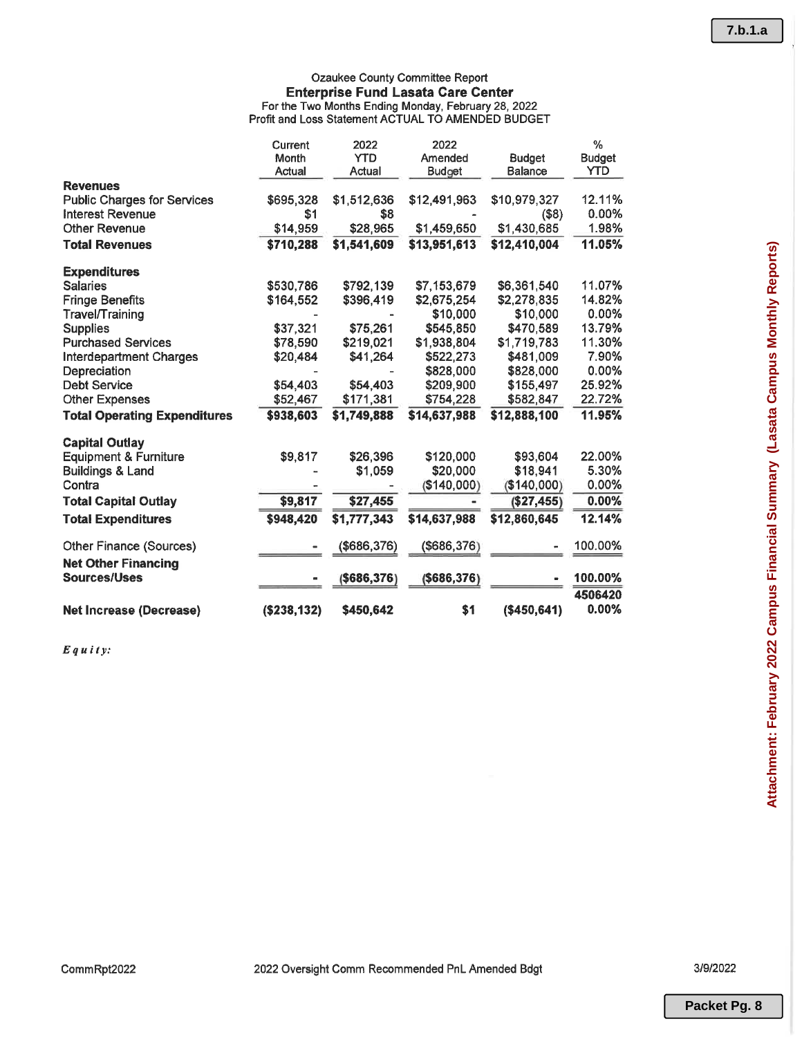## Ozaukee County Committee Report **Enterprise Fund Lasata Care Center** Final Price Prince Prince Care Care Control<br>For the Two Months Ending Monday, February 28, 2022<br>Profit and Loss Statement ACTUAL TO AMENDED BUDGET

|                                     | Current<br>Month<br>Actual | 2022<br><b>YTD</b><br>Actual | 2022<br>Amended<br>Budget | <b>Budget</b><br><b>Balance</b> | $\frac{0}{2}$<br><b>Budget</b><br>YTD |
|-------------------------------------|----------------------------|------------------------------|---------------------------|---------------------------------|---------------------------------------|
| <b>Revenues</b>                     |                            |                              |                           |                                 |                                       |
| <b>Public Charges for Services</b>  | \$695,328                  | \$1,512,636                  | \$12,491,963              | \$10,979,327                    | 12.11%                                |
| <b>Interest Revenue</b>             | \$1                        | \$8                          |                           | $($ \$8)                        | 0.00%                                 |
| <b>Other Revenue</b>                | \$14,959                   | \$28,965                     | \$1,459,650               | \$1,430,685                     | 1.98%                                 |
| <b>Total Revenues</b>               | \$710,288                  | \$1,541,609                  | \$13,951,613              | \$12,410,004                    | 11.05%                                |
| <b>Expenditures</b>                 |                            |                              |                           |                                 |                                       |
| <b>Salaries</b>                     | \$530,786                  | \$792,139                    | \$7,153,679               | \$6,361,540                     | 11.07%                                |
| <b>Fringe Benefits</b>              | \$164,552                  | \$396,419                    | \$2,675,254               | \$2,278,835                     | 14.82%                                |
| <b>Travel/Training</b>              |                            |                              | \$10,000                  | \$10,000                        | 0.00%                                 |
| <b>Supplies</b>                     | \$37,321                   | \$75,261                     | \$545,850                 | \$470,589                       | 13.79%                                |
| <b>Purchased Services</b>           | \$78,590                   | \$219,021                    | \$1,938,804               | \$1,719,783                     | 11.30%                                |
| <b>Interdepartment Charges</b>      | \$20,484                   | \$41,264                     | \$522,273                 | \$481,009                       | 7.90%                                 |
| Depreciation                        |                            |                              | \$828,000                 | \$828,000                       | 0.00%                                 |
| <b>Debt Service</b>                 | \$54,403                   | \$54,403                     | \$209,900                 | \$155,497                       | 25.92%                                |
| <b>Other Expenses</b>               | \$52,467                   | \$171,381                    | \$754,228                 | \$582,847                       | 22.72%                                |
| <b>Total Operating Expenditures</b> | \$938,603                  | \$1,749,888                  | \$14,637,988              | \$12,888,100                    | 11.95%                                |
| <b>Capital Outlay</b>               |                            |                              |                           |                                 |                                       |
| <b>Equipment &amp; Furniture</b>    | \$9,817                    | \$26,396                     | \$120,000                 | \$93.604                        | 22.00%                                |
| <b>Buildings &amp; Land</b>         |                            | \$1,059                      | \$20,000                  | \$18,941                        | 5.30%                                 |
| Contra                              |                            |                              | (\$140,000)               | (\$140,000)                     | 0.00%                                 |
| <b>Total Capital Outlay</b>         | \$9,817                    | \$27,455                     |                           | (\$27,455)                      | $0.00\%$                              |
| <b>Total Expenditures</b>           | \$948,420                  | \$1,777,343                  | \$14,637,988              | \$12,860,645                    | 12.14%                                |
| <b>Other Finance (Sources)</b>      |                            | (\$686,376)                  | (\$686,376)               |                                 | 100.00%                               |
| <b>Net Other Financing</b>          |                            |                              |                           |                                 |                                       |
| <b>Sources/Uses</b>                 |                            | (\$686,376)                  | ( \$686, 376)             |                                 | 100.00%                               |
|                                     |                            |                              |                           |                                 | 4506420                               |
| <b>Net Increase (Decrease)</b>      | ( \$238, 132)              | \$450,642                    | \$1                       | (\$450,641)                     | 0.00%                                 |

 $E$ quity:

3/9/2022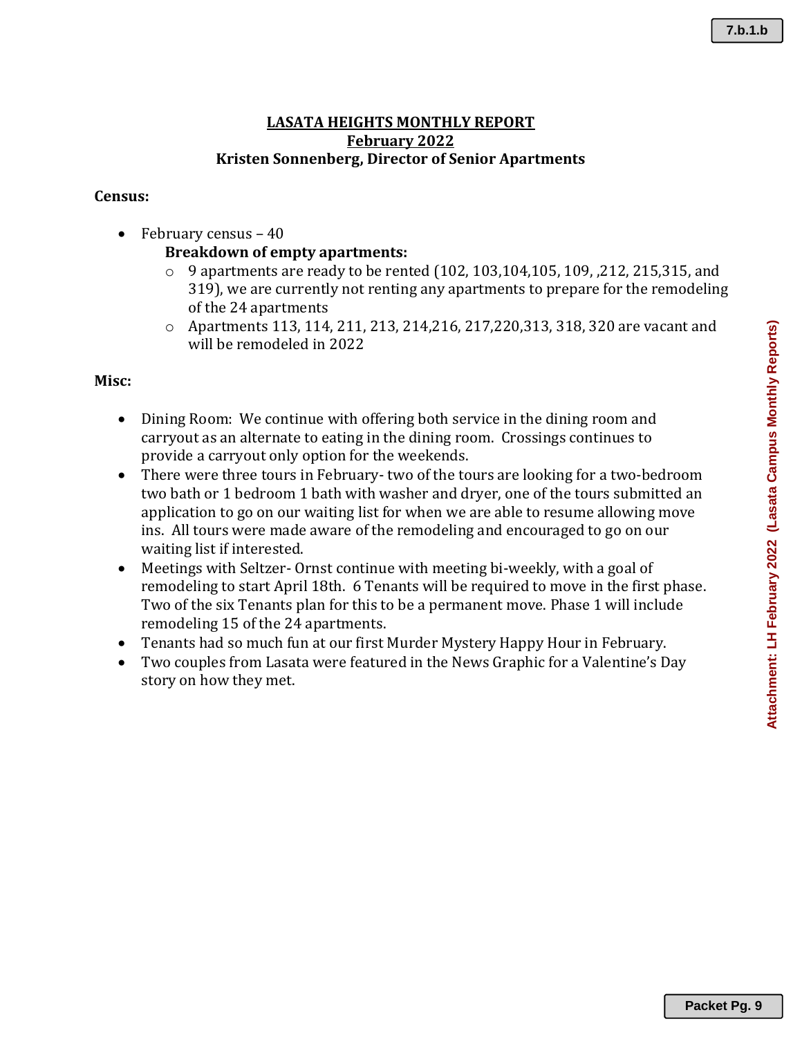Attachment: LH February 2022 (Lasata Campus Monthly Reports) **Attachment: LH February 2022 (Lasata Campus Monthly Reports)**

## **LASATA HEIGHTS MONTHLY REPORT February 2022 Kristen Sonnenberg, Director of Senior Apartments**

## **Census:**

• February census – 40

## **Breakdown of empty apartments:**

- $\circ$  9 apartments are ready to be rented (102, 103, 104, 105, 109, 212, 215, 315, and 319), we are currently not renting any apartments to prepare for the remodeling of the 24 apartments
- o Apartments 113, 114, 211, 213, 214,216, 217,220,313, 318, 320 are vacant and will be remodeled in 2022

## **Misc:**

- Dining Room: We continue with offering both service in the dining room and carryout as an alternate to eating in the dining room. Crossings continues to provide a carryout only option for the weekends.
- There were three tours in February- two of the tours are looking for a two-bedroom two bath or 1 bedroom 1 bath with washer and dryer, one of the tours submitted an application to go on our waiting list for when we are able to resume allowing move ins. All tours were made aware of the remodeling and encouraged to go on our waiting list if interested.
- Meetings with Seltzer- Ornst continue with meeting bi-weekly, with a goal of remodeling to start April 18th. 6 Tenants will be required to move in the first phase. Two of the six Tenants plan for this to be a permanent move. Phase 1 will include remodeling 15 of the 24 apartments.
- Tenants had so much fun at our first Murder Mystery Happy Hour in February.
- Two couples from Lasata were featured in the News Graphic for a Valentine's Day story on how they met.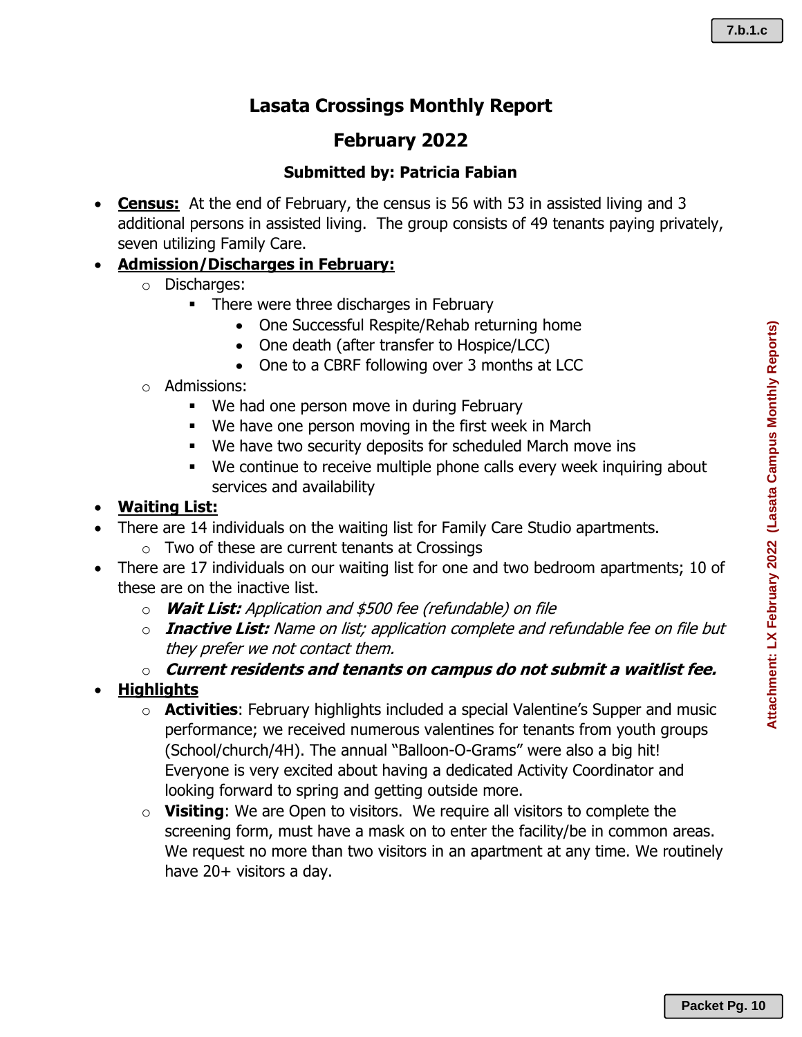Attachment: LX February 2022 (Lasata Campus Monthly Reports) **Attachment: LX February 2022 (Lasata Campus Monthly Reports)**

# **Lasata Crossings Monthly Report**

# **February 2022**

# **Submitted by: Patricia Fabian**

• **Census:** At the end of February, the census is 56 with 53 in assisted living and 3 additional persons in assisted living. The group consists of 49 tenants paying privately, seven utilizing Family Care.

# • **Admission/Discharges in February:**

- o Discharges:
	- **•** There were three discharges in February
		- One Successful Respite/Rehab returning home
		- One death (after transfer to Hospice/LCC)
		- One to a CBRF following over 3 months at LCC
- o Admissions:
	- We had one person move in during February
	- We have one person moving in the first week in March
	- We have two security deposits for scheduled March move ins
	- We continue to receive multiple phone calls every week inquiring about services and availability

## • **Waiting List:**

- There are 14 individuals on the waiting list for Family Care Studio apartments.
	- o Two of these are current tenants at Crossings
- There are 17 individuals on our waiting list for one and two bedroom apartments; 10 of these are on the inactive list.
	- o **Wait List:** Application and \$500 fee (refundable) on file
	- o **Inactive List:** Name on list; application complete and refundable fee on file but they prefer we not contact them.
	- o **Current residents and tenants on campus do not submit a waitlist fee.**
- **Highlights**
	- o **Activities**: February highlights included a special Valentine's Supper and music performance; we received numerous valentines for tenants from youth groups (School/church/4H). The annual "Balloon-O-Grams" were also a big hit! Everyone is very excited about having a dedicated Activity Coordinator and looking forward to spring and getting outside more.
	- o **Visiting**: We are Open to visitors. We require all visitors to complete the screening form, must have a mask on to enter the facility/be in common areas. We request no more than two visitors in an apartment at any time. We routinely have 20+ visitors a day.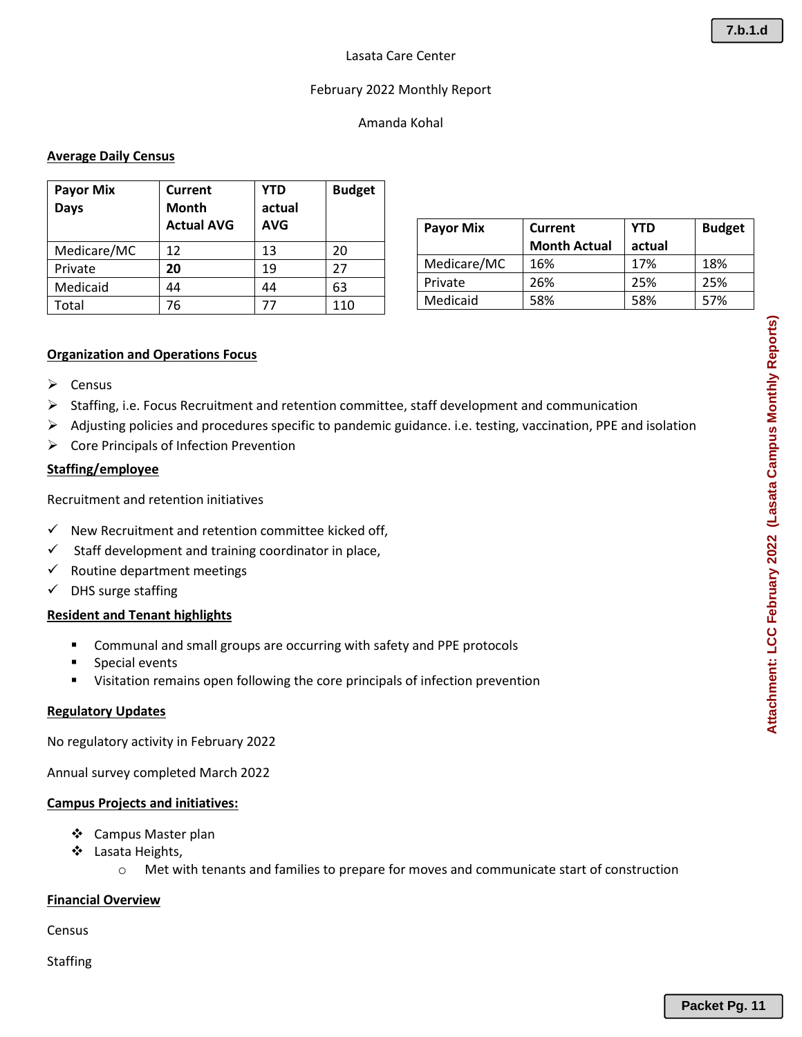## February 2022 Monthly Report

## Amanda Kohal

## **Average Daily Census**

| <b>Payor Mix</b><br><b>Days</b> | Current<br>Month<br><b>Actual AVG</b> | <b>YTD</b><br>actual<br><b>AVG</b> | <b>Budget</b> |
|---------------------------------|---------------------------------------|------------------------------------|---------------|
| Medicare/MC                     | 12                                    | 13                                 | 20            |
| Private                         | 20                                    | 19                                 | 27            |
| Medicaid                        | 44                                    | 44                                 | 63            |
| Total                           | 76                                    |                                    | 110           |

| <b>Payor Mix</b> | <b>Current</b>      | <b>YTD</b> | <b>Budget</b> |
|------------------|---------------------|------------|---------------|
|                  | <b>Month Actual</b> | actual     |               |
| Medicare/MC      | 16%                 | 17%        | 18%           |
| Private          | 26%                 | 25%        | 25%           |
| Medicaid         | 58%                 | 58%        | 57%           |
|                  |                     |            |               |

### **Organization and Operations Focus**

- ➢ Census
- ➢ Staffing, i.e. Focus Recruitment and retention committee, staff development and communication
- ➢ Adjusting policies and procedures specific to pandemic guidance. i.e. testing, vaccination, PPE and isolation
- ➢ Core Principals of Infection Prevention

### **Staffing/employee**

Recruitment and retention initiatives

- $\checkmark$  New Recruitment and retention committee kicked off,
- $\checkmark$  Staff development and training coordinator in place,
- $\checkmark$  Routine department meetings
- ✓ DHS surge staffing

## **Resident and Tenant highlights**

- Communal and small groups are occurring with safety and PPE protocols
- Special events
- Visitation remains open following the core principals of infection prevention

#### **Regulatory Updates**

No regulatory activity in February 2022

Annual survey completed March 2022

#### **Campus Projects and initiatives:**

- ❖ Campus Master plan
- ❖ Lasata Heights,
	- o Met with tenants and families to prepare for moves and communicate start of construction

#### **Financial Overview**

Census

**Staffing**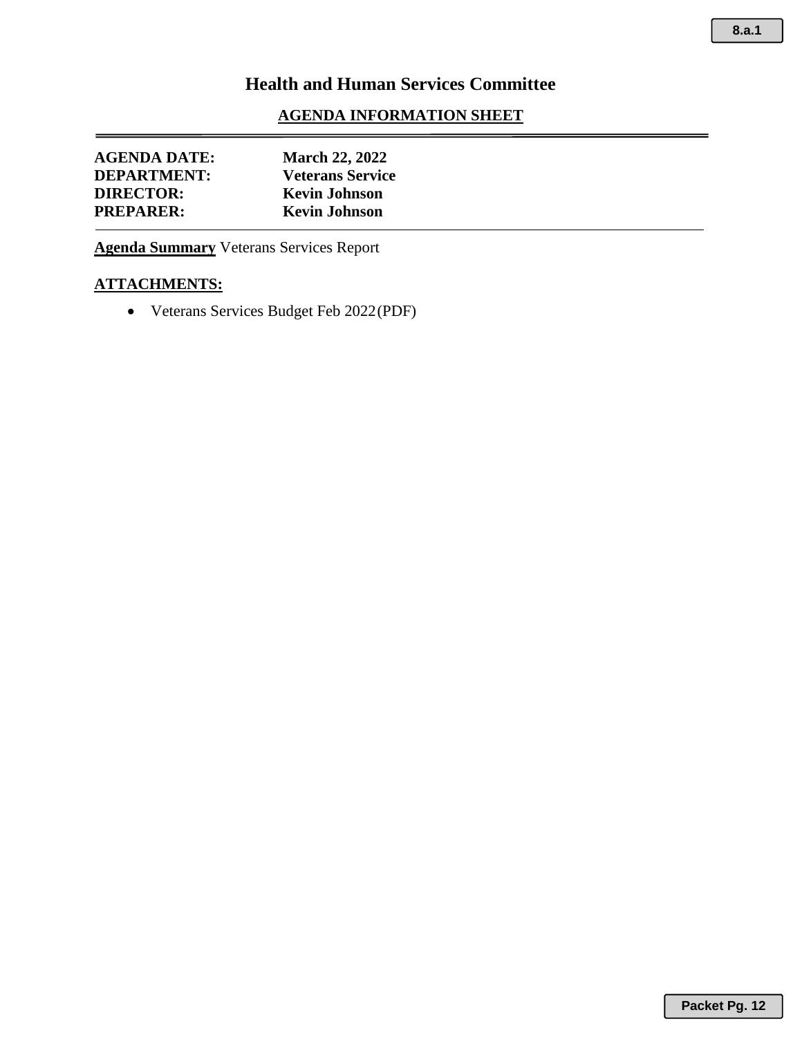## **AGENDA INFORMATION SHEET**

| <b>AGENDA DATE:</b> | <b>March 22, 2022</b>   |  |
|---------------------|-------------------------|--|
| <b>DEPARTMENT:</b>  | <b>Veterans Service</b> |  |
| <b>DIRECTOR:</b>    | <b>Kevin Johnson</b>    |  |
| <b>PREPARER:</b>    | <b>Kevin Johnson</b>    |  |

**Agenda Summary** Veterans Services Report

## **ATTACHMENTS:**

• Veterans Services Budget Feb 2022(PDF)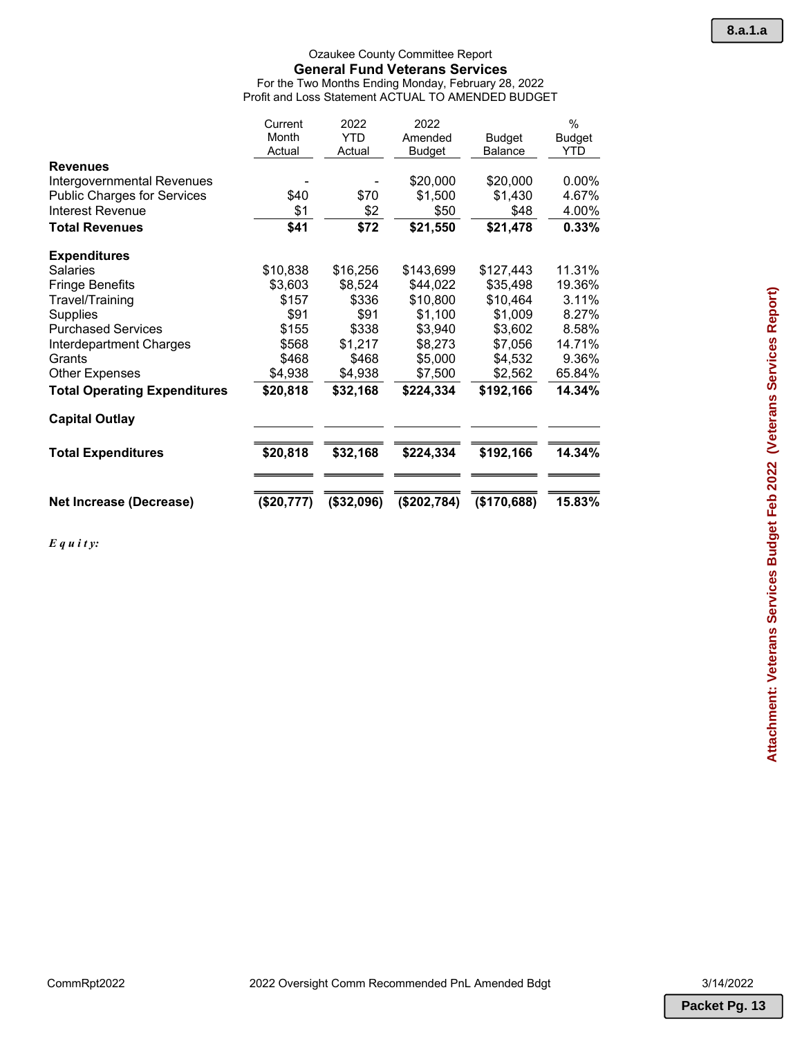#### Ozaukee County Committee Report **General Fund Veterans Services** For the Two Months Ending Monday, February 28, 2022 Profit and Loss Statement ACTUAL TO AMENDED BUDGET

|                                     | Current<br>Month<br>Actual | 2022<br><b>YTD</b><br>Actual | 2022<br>Amended<br>Budget | Budget<br><b>Balance</b> | $\frac{0}{0}$<br><b>Budget</b><br>YTD |
|-------------------------------------|----------------------------|------------------------------|---------------------------|--------------------------|---------------------------------------|
| <b>Revenues</b>                     |                            |                              |                           |                          |                                       |
| Intergovernmental Revenues          |                            |                              | \$20,000                  | \$20,000                 | $0.00\%$                              |
| <b>Public Charges for Services</b>  | \$40                       | \$70                         | \$1,500                   | \$1,430                  | 4.67%                                 |
| Interest Revenue                    | \$1                        | \$2                          | \$50                      | \$48                     | 4.00%                                 |
| <b>Total Revenues</b>               | \$41                       | \$72                         | \$21,550                  | \$21,478                 | 0.33%                                 |
| <b>Expenditures</b>                 |                            |                              |                           |                          |                                       |
| <b>Salaries</b>                     | \$10,838                   | \$16,256                     | \$143,699                 | \$127,443                | 11.31%                                |
| <b>Fringe Benefits</b>              | \$3,603                    | \$8,524                      | \$44,022                  | \$35,498                 | 19.36%                                |
| Travel/Training                     | \$157                      | \$336                        | \$10,800                  | \$10,464                 | 3.11%                                 |
| <b>Supplies</b>                     | \$91                       | \$91                         | \$1,100                   | \$1,009                  | 8.27%                                 |
| <b>Purchased Services</b>           | \$155                      | \$338                        | \$3,940                   | \$3,602                  | 8.58%                                 |
| Interdepartment Charges             | \$568                      | \$1,217                      | \$8,273                   | \$7,056                  | 14.71%                                |
| Grants                              | \$468                      | \$468                        | \$5,000                   | \$4,532                  | 9.36%                                 |
| <b>Other Expenses</b>               | \$4,938                    | \$4,938                      | \$7,500                   | \$2,562                  | 65.84%                                |
| <b>Total Operating Expenditures</b> | \$20,818                   | \$32,168                     | \$224,334                 | \$192,166                | 14.34%                                |
| <b>Capital Outlay</b>               |                            |                              |                           |                          |                                       |
| <b>Total Expenditures</b>           | \$20,818                   | \$32,168                     | \$224,334                 | \$192,166                | 14.34%                                |
| <b>Net Increase (Decrease)</b>      | (\$20,777)                 | (\$32,096)                   | (\$202,784)               | (\$170,688)              | 15.83%                                |

*E q u i t y:*

**Packet Pg. 13**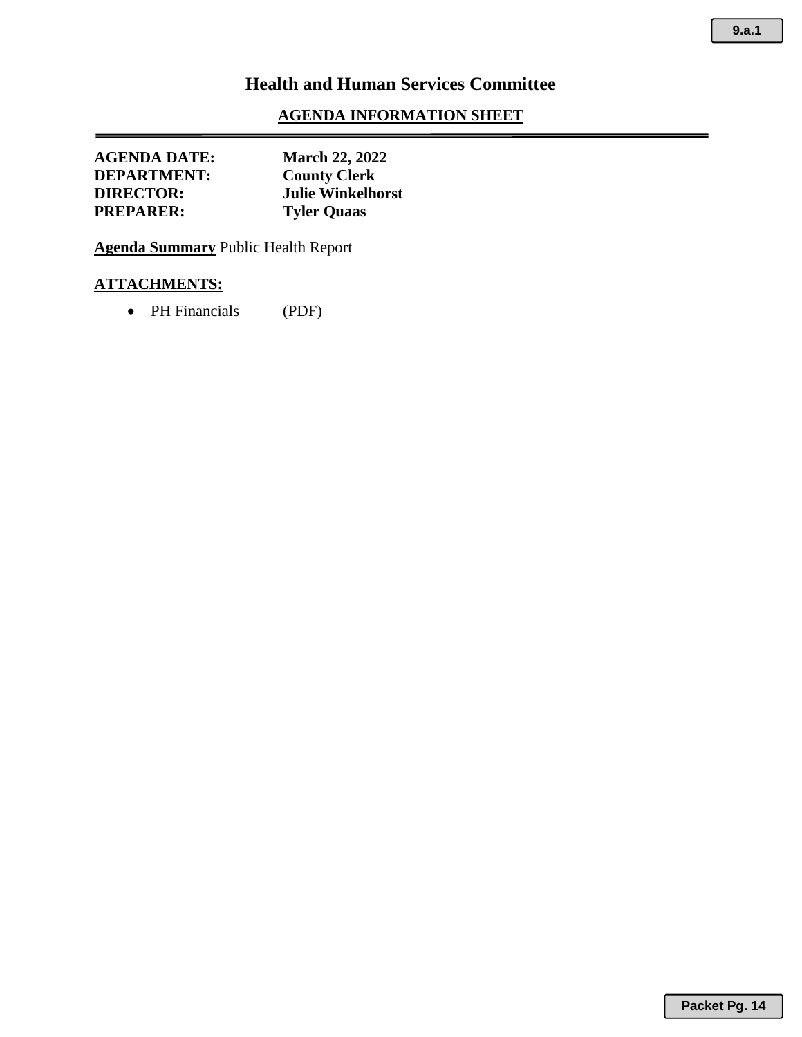## **AGENDA INFORMATION SHEET**

| <b>AGENDA DATE:</b><br><b>DEPARTMENT:</b> | <b>March 22, 2022</b><br><b>County Clerk</b> |
|-------------------------------------------|----------------------------------------------|
| <b>DIRECTOR:</b>                          | <b>Julie Winkelhorst</b>                     |
| <b>PREPARER:</b>                          | <b>Tyler Quaas</b>                           |

**Agenda Summary** Public Health Report

# **ATTACHMENTS:**

• PH Financials (PDF)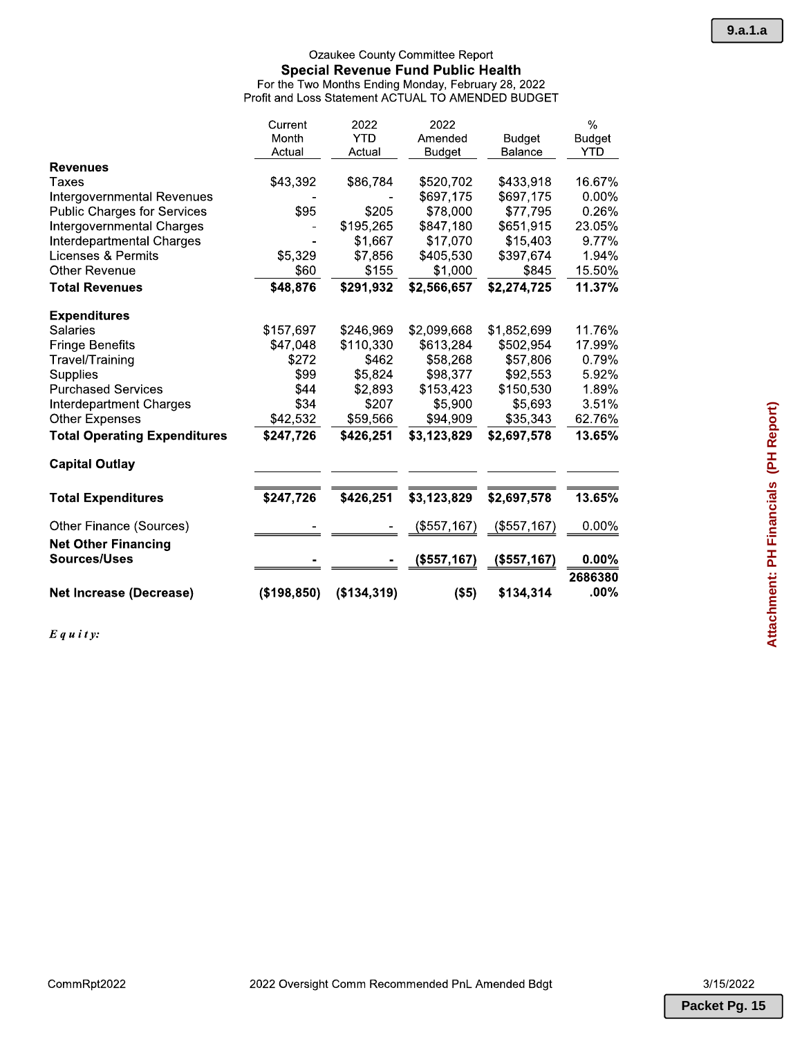| Current      | 2022        | 2022          |               | $\%$               |
|--------------|-------------|---------------|---------------|--------------------|
| Month        | <b>YTD</b>  | Amended       | <b>Budget</b> | <b>Budget</b>      |
| Actual       | Actual      | <b>Budget</b> | Balance       | YTD                |
|              |             |               |               |                    |
| \$43,392     | \$86,784    | \$520,702     | \$433,918     | 16.67%             |
|              |             | \$697,175     | \$697,175     | $0.00\%$           |
| \$95         | \$205       | \$78,000      | \$77,795      | 0.26%              |
|              | \$195,265   | \$847,180     | \$651,915     | 23.05%             |
|              | \$1,667     | \$17,070      | \$15,403      | 9.77%              |
| \$5,329      | \$7,856     | \$405,530     | \$397,674     | 1.94%              |
| \$60         | \$155       | \$1,000       | \$845         | 15.50%             |
| \$48,876     | \$291,932   | \$2,566,657   | \$2,274,725   | 11.37%             |
|              |             |               |               |                    |
| \$157,697    | \$246,969   | \$2,099,668   | \$1,852,699   | 11.76%             |
| \$47,048     | \$110,330   | \$613,284     | \$502,954     | 17.99%             |
| \$272        | \$462       | \$58,268      | \$57,806      | 0.79%              |
| \$99         | \$5,824     | \$98,377      | \$92,553      | $5.92\%$           |
| \$44         | \$2,893     | \$153,423     | \$150,530     | 1.89%              |
| \$34         | \$207       | \$5,900       | \$5,693       | 3.51%              |
| \$42,532     | \$59,566    | \$94,909      | \$35,343      | 62.76%             |
| \$247,726    | \$426,251   | \$3,123,829   | \$2,697,578   | 13.65%             |
|              |             |               |               |                    |
| \$247,726    | \$426,251   | \$3,123,829   | \$2,697,578   | 13.65%             |
|              |             | (\$557,167)   | (\$557,167)   | $0.00\%$           |
|              |             |               |               |                    |
|              |             | (\$557,167)   | (\$557,167)   | $0.00\%$           |
| (\$198, 850) | (\$134,319) |               | \$134,314     | 2686380<br>$.00\%$ |
|              |             |               | $($ \$5)      |                    |

 $E$ *qu i ty*: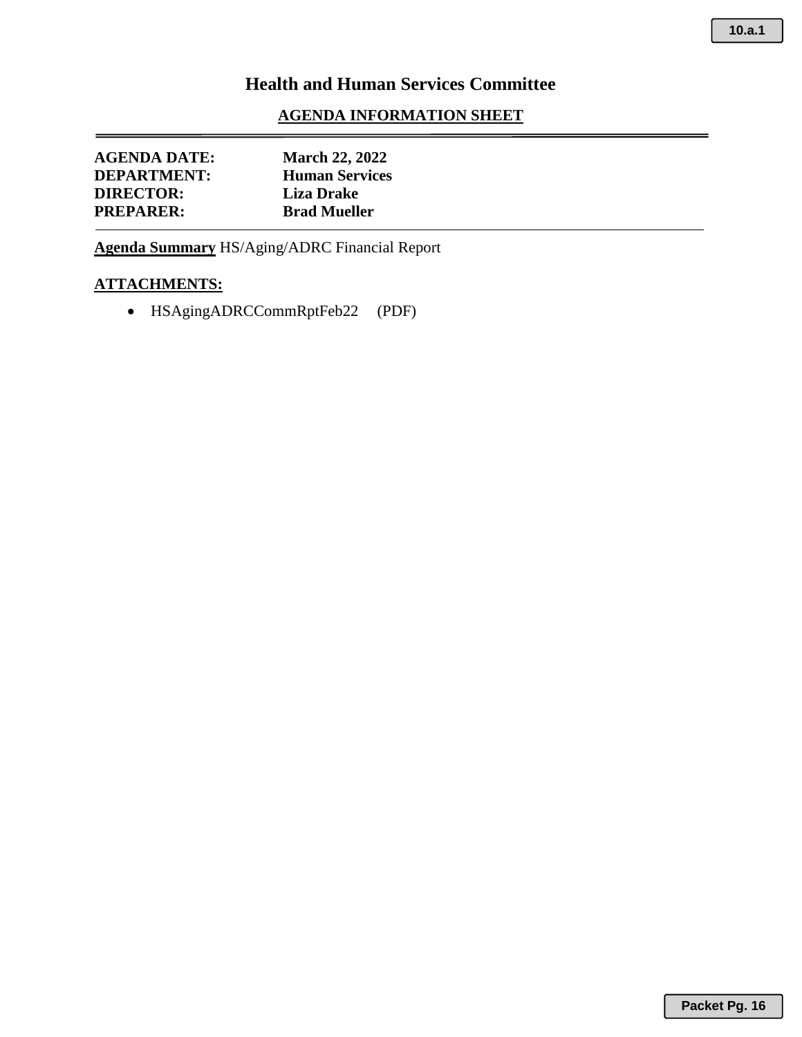## **AGENDA INFORMATION SHEET**

| <b>AGENDA DATE:</b> | <b>March 22, 2022</b> |  |  |
|---------------------|-----------------------|--|--|
| <b>DEPARTMENT:</b>  | <b>Human Services</b> |  |  |
| <b>DIRECTOR:</b>    | <b>Liza Drake</b>     |  |  |
| <b>PREPARER:</b>    | <b>Brad Mueller</b>   |  |  |
|                     |                       |  |  |

**Agenda Summary** HS/Aging/ADRC Financial Report

## **ATTACHMENTS:**

• HSAgingADRCCommRptFeb22 (PDF)